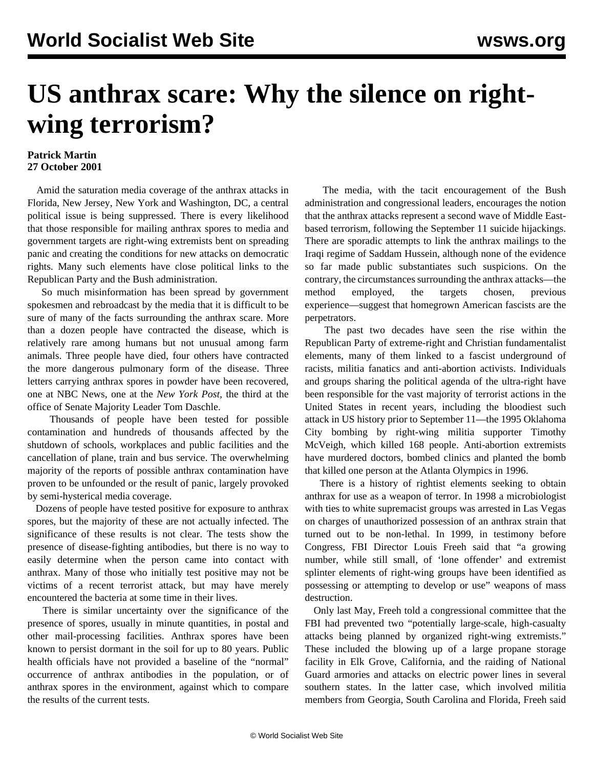## **US anthrax scare: Why the silence on rightwing terrorism?**

## **Patrick Martin 27 October 2001**

 Amid the saturation media coverage of the anthrax attacks in Florida, New Jersey, New York and Washington, DC, a central political issue is being suppressed. There is every likelihood that those responsible for mailing anthrax spores to media and government targets are right-wing extremists bent on spreading panic and creating the conditions for new attacks on democratic rights. Many such elements have close political links to the Republican Party and the Bush administration.

 So much misinformation has been spread by government spokesmen and rebroadcast by the media that it is difficult to be sure of many of the facts surrounding the anthrax scare. More than a dozen people have contracted the disease, which is relatively rare among humans but not unusual among farm animals. Three people have died, four others have contracted the more dangerous pulmonary form of the disease. Three letters carrying anthrax spores in powder have been recovered, one at NBC News, one at the *New York Post*, the third at the office of Senate Majority Leader Tom Daschle.

 Thousands of people have been tested for possible contamination and hundreds of thousands affected by the shutdown of schools, workplaces and public facilities and the cancellation of plane, train and bus service. The overwhelming majority of the reports of possible anthrax contamination have proven to be unfounded or the result of panic, largely provoked by semi-hysterical media coverage.

 Dozens of people have tested positive for exposure to anthrax spores, but the majority of these are not actually infected. The significance of these results is not clear. The tests show the presence of disease-fighting antibodies, but there is no way to easily determine when the person came into contact with anthrax. Many of those who initially test positive may not be victims of a recent terrorist attack, but may have merely encountered the bacteria at some time in their lives.

 There is similar uncertainty over the significance of the presence of spores, usually in minute quantities, in postal and other mail-processing facilities. Anthrax spores have been known to persist dormant in the soil for up to 80 years. Public health officials have not provided a baseline of the "normal" occurrence of anthrax antibodies in the population, or of anthrax spores in the environment, against which to compare the results of the current tests.

 The media, with the tacit encouragement of the Bush administration and congressional leaders, encourages the notion that the anthrax attacks represent a second wave of Middle Eastbased terrorism, following the September 11 suicide hijackings. There are sporadic attempts to link the anthrax mailings to the Iraqi regime of Saddam Hussein, although none of the evidence so far made public substantiates such suspicions. On the contrary, the circumstances surrounding the anthrax attacks—the method employed, the targets chosen, previous experience—suggest that homegrown American fascists are the perpetrators.

 The past two decades have seen the rise within the Republican Party of extreme-right and Christian fundamentalist elements, many of them linked to a fascist underground of racists, militia fanatics and anti-abortion activists. Individuals and groups sharing the political agenda of the ultra-right have been responsible for the vast majority of terrorist actions in the United States in recent years, including the bloodiest such attack in US history prior to September 11—the 1995 Oklahoma City bombing by right-wing militia supporter Timothy McVeigh, which killed 168 people. Anti-abortion extremists have murdered doctors, bombed clinics and planted the bomb that killed one person at the Atlanta Olympics in 1996.

 There is a history of rightist elements seeking to obtain anthrax for use as a weapon of terror. In 1998 a microbiologist with ties to white supremacist groups was arrested in Las Vegas on charges of unauthorized possession of an anthrax strain that turned out to be non-lethal. In 1999, in testimony before Congress, FBI Director Louis Freeh said that "a growing number, while still small, of 'lone offender' and extremist splinter elements of right-wing groups have been identified as possessing or attempting to develop or use" weapons of mass destruction.

 Only last May, Freeh told a congressional committee that the FBI had prevented two "potentially large-scale, high-casualty attacks being planned by organized right-wing extremists." These included the blowing up of a large propane storage facility in Elk Grove, California, and the raiding of National Guard armories and attacks on electric power lines in several southern states. In the latter case, which involved militia members from Georgia, South Carolina and Florida, Freeh said